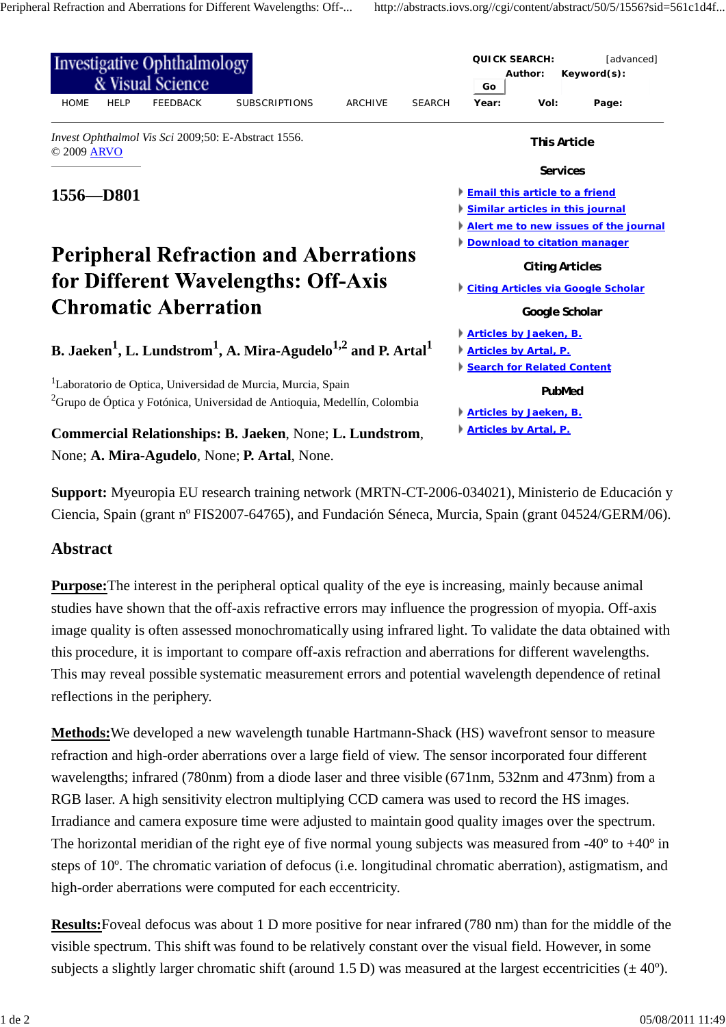

**Support:** Myeuropia EU research training network (MRTN-CT-2006-034021), Ministerio de Educación y Ciencia, Spain (grant nº FIS2007-64765), and Fundación Séneca, Murcia, Spain (grant 04524/GERM/06).

## **Abstract**

**Purpose:**The interest in the peripheral optical quality of the eye is increasing, mainly because animal studies have shown that the off-axis refractive errors may influence the progression of myopia. Off-axis image quality is often assessed monochromatically using infrared light. To validate the data obtained with this procedure, it is important to compare off-axis refraction and aberrations for different wavelengths. This may reveal possible systematic measurement errors and potential wavelength dependence of retinal reflections in the periphery.

**Methods:**We developed a new wavelength tunable Hartmann-Shack (HS) wavefront sensor to measure refraction and high-order aberrations over a large field of view. The sensor incorporated four different wavelengths; infrared (780nm) from a diode laser and three visible (671nm, 532nm and 473nm) from a RGB laser. A high sensitivity electron multiplying CCD camera was used to record the HS images. Irradiance and camera exposure time were adjusted to maintain good quality images over the spectrum. The horizontal meridian of the right eye of five normal young subjects was measured from  $-40^{\circ}$  to  $+40^{\circ}$  in steps of 10º. The chromatic variation of defocus (i.e. longitudinal chromatic aberration), astigmatism, and high-order aberrations were computed for each eccentricity.

**Results:**Foveal defocus was about 1 D more positive for near infrared (780 nm) than for the middle of the visible spectrum. This shift was found to be relatively constant over the visual field. However, in some subjects a slightly larger chromatic shift (around 1.5 D) was measured at the largest eccentricities ( $\pm$ 40°).